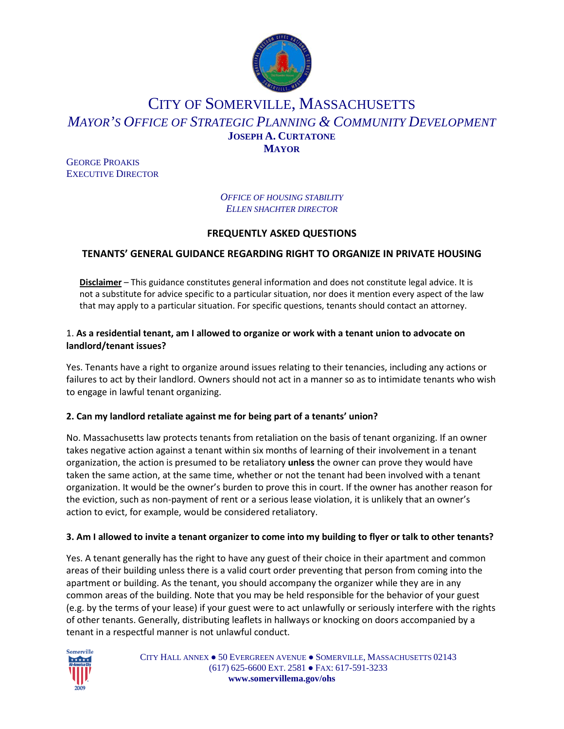

# CITY OF SOMERVILLE, MASSACHUSETTS *MAYOR'S OFFICE OF STRATEGIC PLANNING & COMMUNITY DEVELOPMENT* **JOSEPH A. CURTATONE MAYOR**

GEORGE PROAKIS EXECUTIVE DIRECTOR

> *OFFICE OF HOUSING STABILITY ELLEN SHACHTER DIRECTOR*

## **FREQUENTLY ASKED QUESTIONS**

# **TENANTS' GENERAL GUIDANCE REGARDING RIGHT TO ORGANIZE IN PRIVATE HOUSING**

**Disclaimer** – This guidance constitutes general information and does not constitute legal advice. It is not a substitute for advice specific to a particular situation, nor does it mention every aspect of the law that may apply to a particular situation. For specific questions, tenants should contact an attorney.

#### 1. **As a residential tenant, am I allowed to organize or work with a tenant union to advocate on landlord/tenant issues?**

Yes. Tenants have a right to organize around issues relating to their tenancies, including any actions or failures to act by their landlord. Owners should not act in a manner so as to intimidate tenants who wish to engage in lawful tenant organizing.

#### **2. Can my landlord retaliate against me for being part of a tenants' union?**

No. Massachusetts law protects tenants from retaliation on the basis of tenant organizing. If an owner takes negative action against a tenant within six months of learning of their involvement in a tenant organization, the action is presumed to be retaliatory **unless** the owner can prove they would have taken the same action, at the same time, whether or not the tenant had been involved with a tenant organization. It would be the owner's burden to prove this in court. If the owner has another reason for the eviction, such as non-payment of rent or a serious lease violation, it is unlikely that an owner's action to evict, for example, would be considered retaliatory.

#### **3. Am I allowed to invite a tenant organizer to come into my building to flyer or talk to other tenants?**

Yes. A tenant generally has the right to have any guest of their choice in their apartment and common areas of their building unless there is a valid court order preventing that person from coming into the apartment or building. As the tenant, you should accompany the organizer while they are in any common areas of the building. Note that you may be held responsible for the behavior of your guest (e.g. by the terms of your lease) if your guest were to act unlawfully or seriously interfere with the rights of other tenants. Generally, distributing leaflets in hallways or knocking on doors accompanied by a tenant in a respectful manner is not unlawful conduct.



CITY HALL ANNEX ● 50 EVERGREEN AVENUE ● SOMERVILLE, MASSACHUSETTS 02143 (617) 625-6600 EXT. 2581 ● FAX: 617-591-3233 **www.somervillema.gov/ohs**